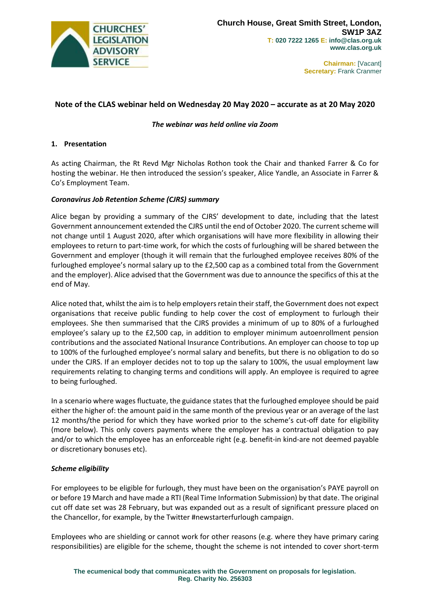

# **Note of the CLAS webinar held on Wednesday 20 May 2020 – accurate as at 20 May 2020**

### *The webinar was held online via Zoom*

#### **1. Presentation**

As acting Chairman, the Rt Revd Mgr Nicholas Rothon took the Chair and thanked Farrer & Co for hosting the webinar. He then introduced the session's speaker, Alice Yandle, an Associate in Farrer & Co's Employment Team.

#### *Coronavirus Job Retention Scheme (CJRS) summary*

Alice began by providing a summary of the CJRS' development to date, including that the latest Government announcement extended the CJRS until the end of October 2020. The current scheme will not change until 1 August 2020, after which organisations will have more flexibility in allowing their employees to return to part-time work, for which the costs of furloughing will be shared between the Government and employer (though it will remain that the furloughed employee receives 80% of the furloughed employee's normal salary up to the £2,500 cap as a combined total from the Government and the employer). Alice advised that the Government was due to announce the specifics of this at the end of May.

Alice noted that, whilst the aim is to help employers retain their staff, the Government does not expect organisations that receive public funding to help cover the cost of employment to furlough their employees. She then summarised that the CJRS provides a minimum of up to 80% of a furloughed employee's salary up to the £2,500 cap, in addition to employer minimum autoenrollment pension contributions and the associated National Insurance Contributions. An employer can choose to top up to 100% of the furloughed employee's normal salary and benefits, but there is no obligation to do so under the CJRS. If an employer decides not to top up the salary to 100%, the usual employment law requirements relating to changing terms and conditions will apply. An employee is required to agree to being furloughed.

In a scenario where wages fluctuate, the guidance states that the furloughed employee should be paid either the higher of: the amount paid in the same month of the previous year or an average of the last 12 months/the period for which they have worked prior to the scheme's cut-off date for eligibility (more below). This only covers payments where the employer has a contractual obligation to pay and/or to which the employee has an enforceable right (e.g. benefit-in kind-are not deemed payable or discretionary bonuses etc).

### *Scheme eligibility*

For employees to be eligible for furlough, they must have been on the organisation's PAYE payroll on or before 19 March and have made a RTI (Real Time Information Submission) by that date. The original cut off date set was 28 February, but was expanded out as a result of significant pressure placed on the Chancellor, for example, by the Twitter #newstarterfurlough campaign.

Employees who are shielding or cannot work for other reasons (e.g. where they have primary caring responsibilities) are eligible for the scheme, thought the scheme is not intended to cover short-term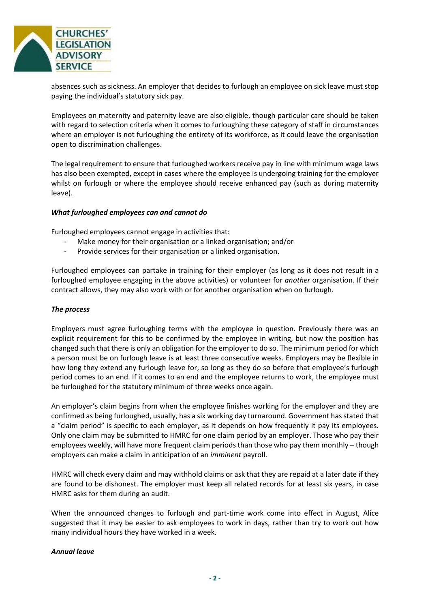

absences such as sickness. An employer that decides to furlough an employee on sick leave must stop paying the individual's statutory sick pay.

Employees on maternity and paternity leave are also eligible, though particular care should be taken with regard to selection criteria when it comes to furloughing these category of staff in circumstances where an employer is not furloughing the entirety of its workforce, as it could leave the organisation open to discrimination challenges.

The legal requirement to ensure that furloughed workers receive pay in line with minimum wage laws has also been exempted, except in cases where the employee is undergoing training for the employer whilst on furlough or where the employee should receive enhanced pay (such as during maternity leave).

### *What furloughed employees can and cannot do*

Furloughed employees cannot engage in activities that:

- Make money for their organisation or a linked organisation; and/or
- Provide services for their organisation or a linked organisation.

Furloughed employees can partake in training for their employer (as long as it does not result in a furloughed employee engaging in the above activities) or volunteer for *another* organisation. If their contract allows, they may also work with or for another organisation when on furlough.

### *The process*

Employers must agree furloughing terms with the employee in question. Previously there was an explicit requirement for this to be confirmed by the employee in writing, but now the position has changed such that there is only an obligation for the employer to do so. The minimum period for which a person must be on furlough leave is at least three consecutive weeks. Employers may be flexible in how long they extend any furlough leave for, so long as they do so before that employee's furlough period comes to an end. If it comes to an end and the employee returns to work, the employee must be furloughed for the statutory minimum of three weeks once again.

An employer's claim begins from when the employee finishes working for the employer and they are confirmed as being furloughed, usually, has a six working day turnaround. Government has stated that a "claim period" is specific to each employer, as it depends on how frequently it pay its employees. Only one claim may be submitted to HMRC for one claim period by an employer. Those who pay their employees weekly, will have more frequent claim periods than those who pay them monthly – though employers can make a claim in anticipation of an *imminent* payroll.

HMRC will check every claim and may withhold claims or ask that they are repaid at a later date if they are found to be dishonest. The employer must keep all related records for at least six years, in case HMRC asks for them during an audit.

When the announced changes to furlough and part-time work come into effect in August, Alice suggested that it may be easier to ask employees to work in days, rather than try to work out how many individual hours they have worked in a week.

### *Annual leave*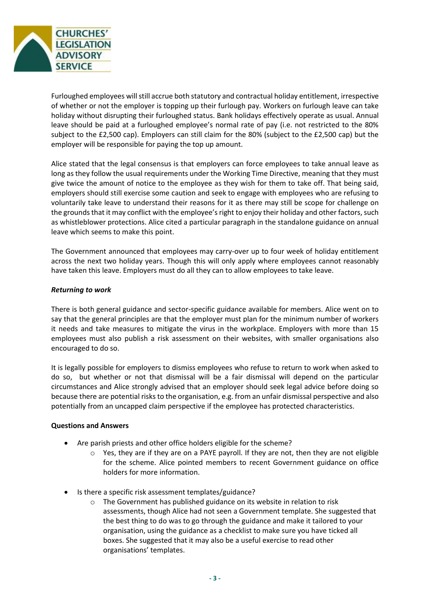

Furloughed employees will still accrue both statutory and contractual holiday entitlement, irrespective of whether or not the employer is topping up their furlough pay. Workers on furlough leave can take holiday without disrupting their furloughed status. Bank holidays effectively operate as usual. Annual leave should be paid at a furloughed employee's normal rate of pay (i.e. not restricted to the 80% subject to the £2,500 cap). Employers can still claim for the 80% (subject to the £2,500 cap) but the employer will be responsible for paying the top up amount.

Alice stated that the legal consensus is that employers can force employees to take annual leave as long as they follow the usual requirements under the Working Time Directive, meaning that they must give twice the amount of notice to the employee as they wish for them to take off. That being said, employers should still exercise some caution and seek to engage with employees who are refusing to voluntarily take leave to understand their reasons for it as there may still be scope for challenge on the grounds that it may conflict with the employee's right to enjoy their holiday and other factors, such as whistleblower protections. Alice cited a particular paragraph in the standalone guidance on annual leave which seems to make this point.

The Government announced that employees may carry-over up to four week of holiday entitlement across the next two holiday years. Though this will only apply where employees cannot reasonably have taken this leave. Employers must do all they can to allow employees to take leave.

## *Returning to work*

There is both general guidance and sector-specific guidance available for members. Alice went on to say that the general principles are that the employer must plan for the minimum number of workers it needs and take measures to mitigate the virus in the workplace. Employers with more than 15 employees must also publish a risk assessment on their websites, with smaller organisations also encouraged to do so.

It is legally possible for employers to dismiss employees who refuse to return to work when asked to do so, but whether or not that dismissal will be a fair dismissal will depend on the particular circumstances and Alice strongly advised that an employer should seek legal advice before doing so because there are potential risks to the organisation, e.g. from an unfair dismissal perspective and also potentially from an uncapped claim perspective if the employee has protected characteristics.

### **Questions and Answers**

- Are parish priests and other office holders eligible for the scheme?
	- $\circ$  Yes, they are if they are on a PAYE payroll. If they are not, then they are not eligible for the scheme. Alice pointed members to recent Government guidance on office holders for more information.
- Is there a specific risk assessment templates/guidance?
	- o The Government has published guidance on its website in relation to risk assessments, though Alice had not seen a Government template. She suggested that the best thing to do was to go through the guidance and make it tailored to your organisation, using the guidance as a checklist to make sure you have ticked all boxes. She suggested that it may also be a useful exercise to read other organisations' templates.